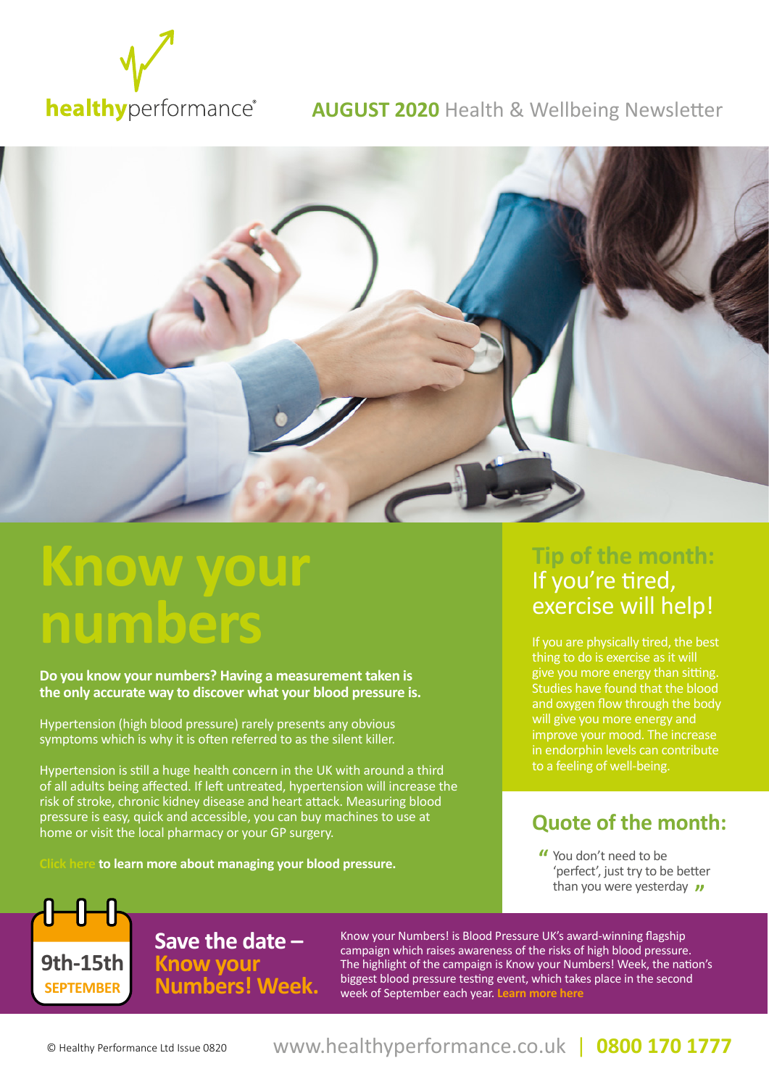

#### **AUGUST 2020** Health & Wellbeing Newsletter



# **Know your numbers**

**Do you know your numbers? Having a measurement taken is the only accurate way to discover what your blood pressure is.** 

Hypertension (high blood pressure) rarely presents any obvious symptoms which is why it is often referred to as the silent killer.

Hypertension is still a huge health concern in the UK with around a third of all adults being affected. If left untreated, hypertension will increase the risk of stroke, chronic kidney disease and heart attack. Measuring blood pressure is easy, quick and accessible, you can buy machines to use at home or visit the local pharmacy or your GP surgery.

**to learn more about managing your blood pressure.** 

# **Tip of the month:**  If you're tired, exercise will help!

If you are physically tired, the best thing to do is exercise as it will give you more energy than sitting. Studies have found that the blood and oxygen flow through the body will give you more energy and improve your mood. The increase in endorphin levels can contribute to a feeling of well-being.

### **Quote of the month:**

You don't need to be 'perfect', just try to be better than you were yesterday  $\overline{\nu}$ 

**Save the date – Know your Numbers! Week. 9th-15th** 

Know your Numbers! is Blood Pressure UK's award-winning flagship campaign which raises awareness of the risks of high blood pressure. The highlight of the campaign is Know your Numbers! Week, the nation's biggest blood pressure testing event, which takes place in the second week of September each year. **[Learn more here](http://www.bloodpressureuk.org/microsites/kyn/Home/AboutKYN)**

**SEPTEMBER**